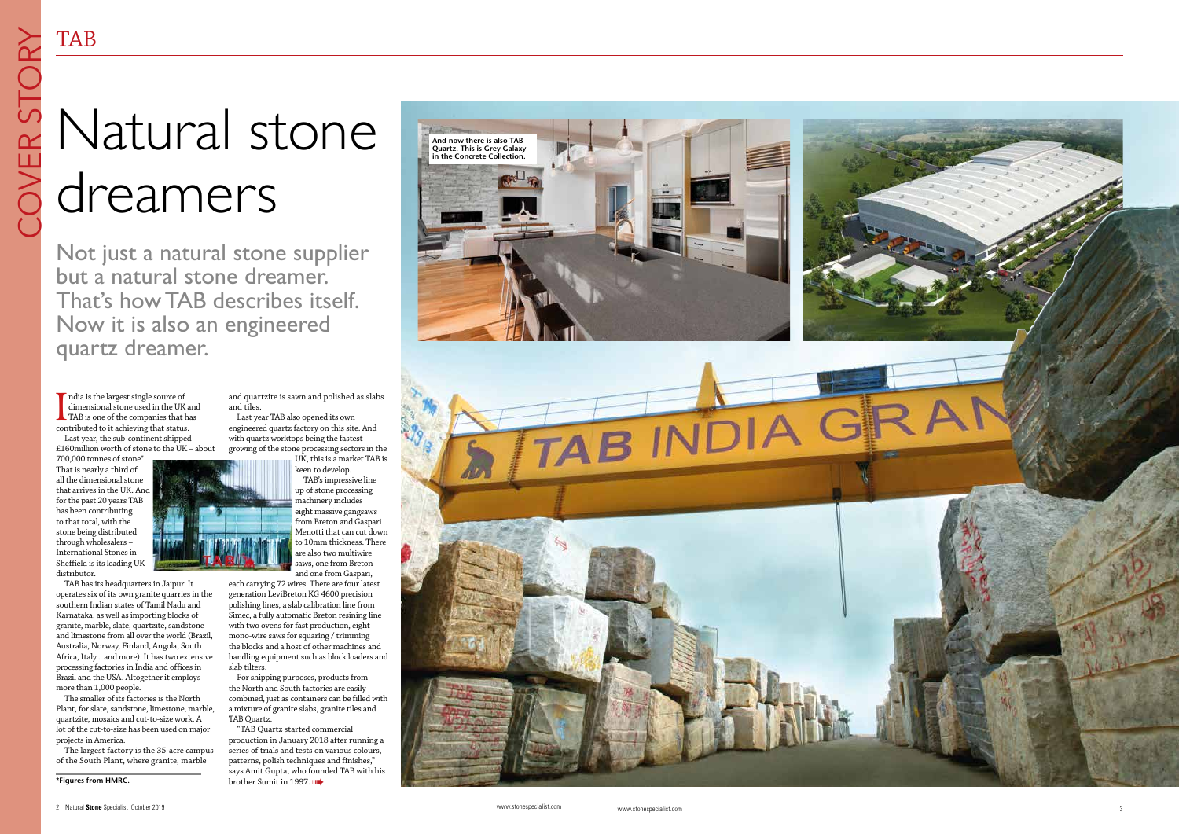www.stonespecialist.com



ndia is the largest single source of dimensional stone used in the UK and **TAB** is one of the companies that has contributed to it achieving that status.

Last year, the sub-continent shipped £160million worth of stone to the UK – about

TAB has its headquarters in Jaipur. It operates six of its own granite quarries in the southern Indian states of Tamil Nadu and Karnataka, as well as importing blocks of granite, marble, slate, quartzite, sandstone and limestone from all over the world (Brazil, Australia, Norway, Finland, Angola, South Africa, Italy... and more). It has two extensive processing factories in India and offices in Brazil and the USA. Altogether it employs more than 1,000 people.

700,000 tonnes of stone\*. That is nearly a third of all the dimensional stone that arrives in the UK. And for the past 20 years TAB has been contributing to that total, with the stone being distributed through wholesalers – International Stones in Sheffield is its leading UK distributor.

and quartzite is sawn and polished as slabs and tiles. Last year TAB also opened its own engineered quartz factory on this site. And with quartz worktops being the fastest

The smaller of its factories is the North Plant, for slate, sandstone, limestone, marble, quartzite, mosaics and cut-to-size work. A lot of the cut-to-size has been used on major projects in America.

"TAB Quartz started commercial production in January 2018 after running a series of trials and tests on various colours, patterns, polish techniques and finishes," says Amit Gupta, who founded TAB with his brother Sumit in 1997.

The largest factory is the 35-acre campus of the South Plant, where granite, marble

growing of the stone processing sectors in the

UK, this is a market TAB is keen to develop. TAB's impressive line up of stone processing machinery includes eight massive gangsaws from Breton and Gaspari Menotti that can cut down to 10mm thickness. There are also two multiwire saws, one from Breton and one from Gaspari,

each carrying 72 wires. There are four latest generation LeviBreton KG 4600 precision polishing lines, a slab calibration line from Simec, a fully automatic Breton resining line with two ovens for fast production, eight mono-wire saws for squaring / trimming the blocks and a host of other machines and handling equipment such as block loaders and slab tilters.

For shipping purposes, products from the North and South factories are easily combined, just as containers can be filled with a mixture of granite slabs, granite tiles and TAB Quartz.

## Natural stone dreamers

Not just a natural stone supplier but a natural stone dreamer. That's how TAB describes itself. Now it is also an engineered quartz dreamer.

**\*Figures from HMRC.**